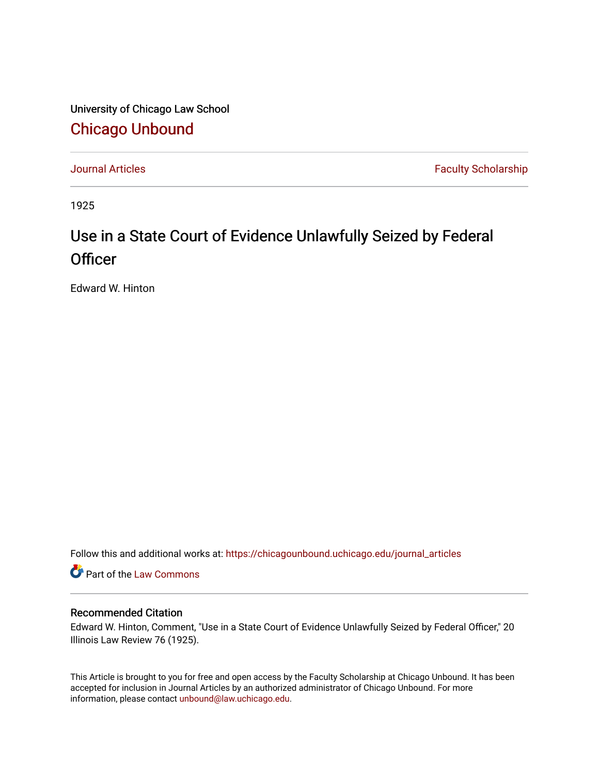University of Chicago Law School [Chicago Unbound](https://chicagounbound.uchicago.edu/)

[Journal Articles](https://chicagounbound.uchicago.edu/journal_articles) **Faculty Scholarship Faculty Scholarship** 

1925

## Use in a State Court of Evidence Unlawfully Seized by Federal **Officer**

Edward W. Hinton

Follow this and additional works at: [https://chicagounbound.uchicago.edu/journal\\_articles](https://chicagounbound.uchicago.edu/journal_articles?utm_source=chicagounbound.uchicago.edu%2Fjournal_articles%2F9579&utm_medium=PDF&utm_campaign=PDFCoverPages) 

Part of the [Law Commons](http://network.bepress.com/hgg/discipline/578?utm_source=chicagounbound.uchicago.edu%2Fjournal_articles%2F9579&utm_medium=PDF&utm_campaign=PDFCoverPages)

## Recommended Citation

Edward W. Hinton, Comment, "Use in a State Court of Evidence Unlawfully Seized by Federal Officer," 20 Illinois Law Review 76 (1925).

This Article is brought to you for free and open access by the Faculty Scholarship at Chicago Unbound. It has been accepted for inclusion in Journal Articles by an authorized administrator of Chicago Unbound. For more information, please contact [unbound@law.uchicago.edu](mailto:unbound@law.uchicago.edu).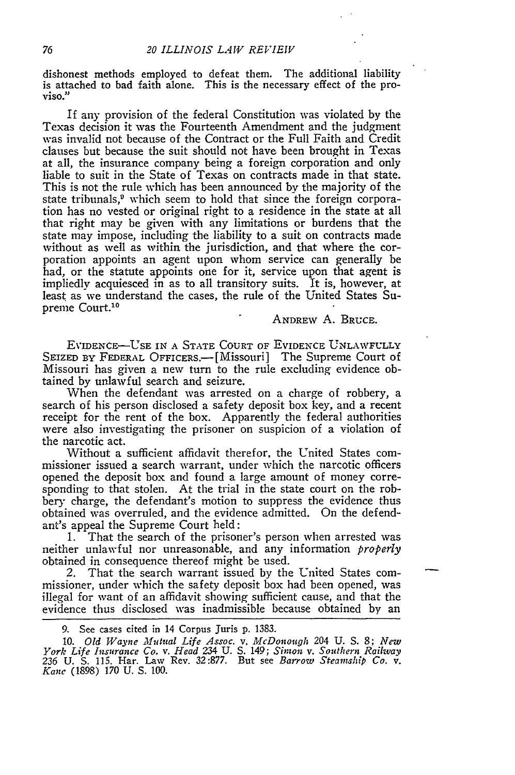dishonest methods employed to defeat them. The additional liability is attached to bad faith alone. This is the necessary effect of the proviso."

If any provision of the federal Constitution was violated by the Texas decision it was the Fourteenth Amendment and the judgment was invalid not because of the Contract or the Full Faith and Credit clauses but because the suit should not have been brought in Texas at all, the insurance company being a foreign corporation and only liable to suit in the State of Texas on contracts made in that state. This is not the rule which has been announced by the majority of the state tribunals,<sup>9</sup> which seem to hold that since the foreign corporation has no vested or original right to a residence in the state at all that right may be given with any limitations or burdens that the state may impose, including the liability to a suit on contracts made without as well as within the jurisdiction, and that where the corporation appoints an agent upon whom service can generally be had, or the statute appoints one for it, service upon that agent is impliedly acquiesced in as to all transitory suits. It is, however, at least as we understand the cases, the rule of the United States Supreme Court.<sup>10</sup>

ANDREW **A.** BRUCE.

EVIDENCE-USE **IN A** STATE COURT OF EVIDENCE UNLAWFULLY SEIZED BY FEDERAL OFFICERS.<sup>---</sup>[Missouri] The Supreme Court of Missouri has given a new turn to the rule excluding evidence obtained by unlawful search and seizure.

When the defendant was arrested on a charge of robbery, a search of his person disclosed a safety deposit box key, and a recent receipt for the rent of the box. Apparently the federal authorities were also investigating the prisoner on suspicion of a violation of the narcotic act.

Without a sufficient affidavit therefor, the United States commissioner issued a search warrant, under which the narcotic officers opened the deposit box and found a large amount of money corresponding to that stolen. At the trial in the state court on the robbery charge, the defendant's motion to suppress the evidence thus obtained was overruled, and the evidence admitted. On the defendant's appeal the Supreme Court held:

1. That the search of the prisoner's person when arrested was neither unlawful nor unreasonable, and any information *properly* obtained in consequence thereof might be used.

2. That the search warrant issued by the United States commissioner, under which the safety deposit box had been opened, was illegal for want of an affidavit showing sufficient cause, and that the evidence thus disclosed was inadmissible because obtained **by** an

10. Old Wayne Mutual Life Assoc. v. McDonough 204 U. S. 8; New<br>York Life Insurance Co. v. Head 234 U. S. 149; Simon v. Southern Railway<br>236 U. S. 115. Har. Law Rev. 32:877. But see Barrow Steamship Co. v.<br>Kanc (1898) 170 U

<sup>9.</sup> See cases cited in 14 Corpus Juris p. 1383.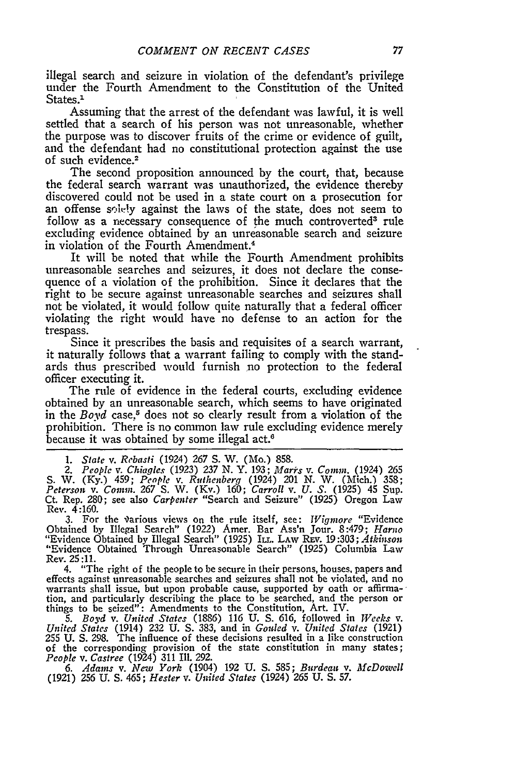illegal search and seizure in violation of the defendant's privilege under the Fourth Amendment to the Constitution of the United States.<sup>1</sup>

Assuming that the arrest of the defendant was lawful, it is well settled that a search of his person was not unreasonable, whether the purpose was to discover fruits of the crime or evidence **of** guilt, and the defendant had no constitutional protection against the use of such evidence.<sup>2</sup>

The second proposition announced by the court, that, because the federal search warrant was unauthorized, the evidence thereby discovered could not be used in a state court on a prosecution for an offense solely against the laws of the state, does not seem to follow as a necessary consequence of the much controverted<sup>3</sup> rule excluding evidence obtained by an unreasonable search and seizure in violation of the Fourth Amendment.4

It will be noted that while the Fourth Amendment prohibits unreasonable searches and seizures, it does not declare the consequence of a violation of the prohibition. Since it declares that the right to be secure against unreasonable searches and seizures shall not be violated, it would follow quite naturally that a federal officer violating the right would have no defense to an action for the trespass.

Since it prescribes the basis and requisites of a search warrant, it naturally follows that a warrant failing to comply with the standards thus prescribed would furnish no protection to the federal officer executing it.

The rule of evidence in the federal courts, excluding evidence obtained by an unreasonable search, which seems to have originated in the *Boyd* case,<sup>5</sup> does not so clearly result from a violation of the prohibition. There is no common law rule excluding evidence merely because it was obtained by some illegal act.<sup>6</sup>

*1. State v. Rebasti* (1924) 267 **S.** W. (Mo.) 858.

*2. People v. Chiagles* (1923) *237* N. Y. 193; *Marirs v. Comm.* (1924) 265 S. W. (Ky.) 459; *People v. Ruthenberg* (1924) 201 N. W. (Mich.) 358; *Peterson v. Comm.* 267 S. W. (Kv.) 160; *Carroll v. U. S.* (1925) 45 Sup. Ct. Rep. 280; see also *Carpenter* "Search and Seizure" (1925) Oregon Law Rev. 4:160.

3. For the various views on the rule itself, see: *Wigmore* "Evidence Obtained by Illegal Search" (1922) Amer. Bar Ass'n Jour. 8:479; *Harno* "Evidence Obtained by Illegal Search" (1925) IT.. LAW REv. 19:303; *Atkinson* "Evidence Obtained Through Unreasonable Search" (1925) Columbia Law Rev. 25:11.

4. "The right of the people to be secure in their persons, houses, papers and effects against unreasonable searches and seizures shall not be violated, and no warrants shall issue, but upon probable cause, supported by oath or afirma-tion, and particularly describing the place to be searched, and the person or things to be seized": Amendments to the Constitution, Art. IV.

*5. Boyd v. United States* (1886) 116 U. S. 616, followed in *Weeks v. United States* (1914) 232 U. **S.** 383, and in *Goiled v. United States* (1921) 255 U. **S.** 298. The influence of these decisions resulted in a like construction of the corresponding provision of the state constitution in many states; *People v. Castree* (1924) 311 Ill. 292.

*6. Adams* v. *New York* (1904) **192 U. S.** 585; *Burdeau v. McDowell* (1921) 256 U. **S.** 465; *Hester v. United States* (1924) *265* U. **S.** 57.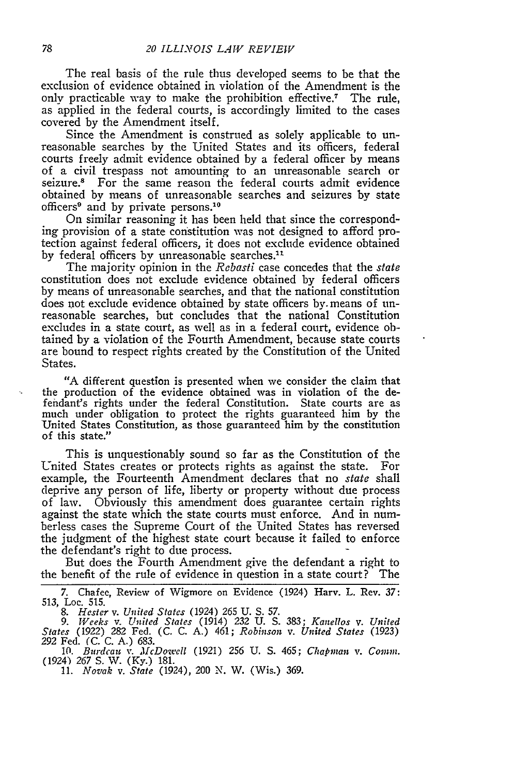The real basis of the rule thus developed seems to be that the exclusion of evidence obtained in violation of the Amendment is the only practicable way to make the prohibition effective.7 The rule, as applied in the federal courts, is accordingly limited to the cases covered by the Amendment itself.

Since the Amendment is construed as solely applicable to unreasonable searches by the United States and its officers, federal courts freely admit evidence obtained by a federal officer by means of a civil trespass not amounting to an unreasonable search or seizure.<sup>8</sup> For the same reason the federal courts admit evidence obtained by means of unreasonable searches and seizures by state officers<sup>9</sup> and by private persons.<sup>10</sup>

On similar reasoning it has been held that since the corresponding provision of a state constitution was not designed to afford protection against federal officers, it does not exclude evidence obtained by federal officers by unreasonable searches.<sup>11</sup>

The majority opinion in the *Rebasti* case concedes that the *state* constitution does not exclude evidence obtained by federal officers by means of unreasonable searches, and that the national constitution does not exclude evidence obtained by state officers by. means of unreasonable searches, but concludes that the national Constitution excludes in a state court, as well as in a federal court, evidence obtained by a violation of the Fourth Amendment, because state courts are bound to respect rights created by the Constitution of the United States.

"A different question is presented when we consider the claim that the production of the evidence obtained was in violation of the defendant's rights under the federal Constitution. State courts are as much under obligation to protect the rights guaranteed him by the 'United States Constitution, as those guaranteed him by the constitution of this state."

This is unquestionably sound so far as the Constitution of the United States creates or protects rights as against the state. For example, the Fourteenth Amendment declares that no *state* shall deprive any person of life, liberty or property without due process of law. Obviously this amendment does guarantee certain rights against the state which the state courts must enforce. And in numberless cases the Supreme Court of the United States has reversed the judgment of the highest state court because it failed to enforce the defendant's right to due process.

But does the Fourth Amendment give the defendant a right to the benefit of the rule of evidence in question in a state court? The

7. Chafee, Review of Wigmore on Evidence (1924) Harv. L. Rev. 37: 513, Loc. 515.

*8. Hester v. United States* (1924) *265* **U.** S. 57. *9.* Weeks *v. United States* (1914) 232 U. S. 383; *Kanellos v. United* States (1922) 282 Fed. (C. C. A.) 461; *Robinson v.* United *States (1923) <sup>292</sup>*Fed. (C. C. A.) 683.

*10. Burdcau v. McDowell* (1921) 256 U. **S.** 465; *Chapman v. Comm.* (1924) *267* **S.** V. (Ky.) 181.

11. *Novak v.* State (1924), 200 N. W. (Wis.) 369.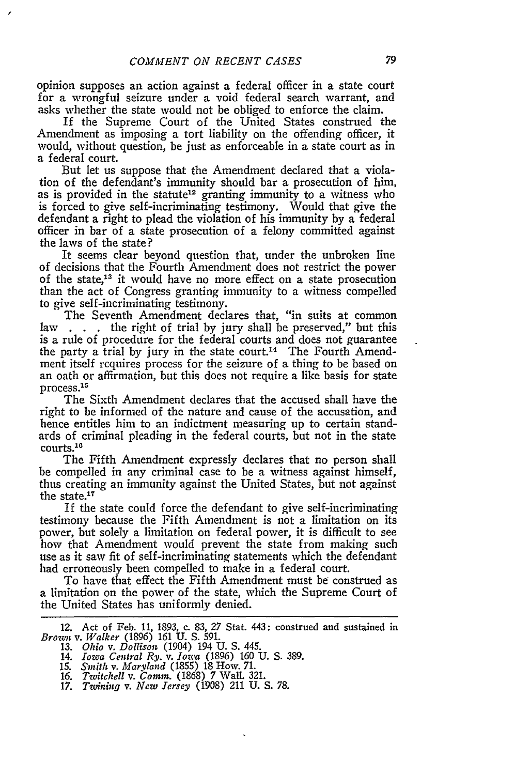opinion supposes an action against a federal officer in a state court for a wrongful seizure under a void federal search warrant, and asks whether the state would not be obliged to enforce the claim.

If the Supreme Court of the United States construed the Amendment as imposing a tort liability on the offending officer, it would, without question, be just as enforceable in a state court as in a federal court.

But let us suppose that the Amendment declared that a violation of the defendant's immunity should bar a prosecution of him, as is provided in the statute<sup>12</sup> granting immunity to a witness who is forced to give self-incriminating testimony. Would that give the defendant a right to plead the violation of his immunity by a federal officer in bar of a state prosecution of a felony committed against the laws of the state?

It seems clear beyond question that, under the unbroken line of decisions that the Fourth Amendment does not restrict the power of the state,<sup>13</sup> it would have no more effect on a state prosecution than the act of Congress granting immunity to a witness compelled to give self-incriminating testimony.

The Seventh Amendment declares that, "in suits at common law **. .** . the right of trial by jury shall be preserved," but this is a rule of procedure for the federal courts and does not guarantee the party a trial by jury in the state court.<sup>14</sup> The Fourth Amendment itself requires process for the seizure of a thing to be based on an oath or affirmation, but this does not require a like basis for state process.<sup>15</sup>

The Sixth Amendment declares that the accused shall have the right to be informed of the nature and cause of the accusation, and hence entitles him to an indictment measuring up to certain standards of criminal pleading in the federal courts, but not in the state courts.<sup>16</sup>

The Fifth Amendment expressly declares that no person shall be compelled in any criminal case to be a witness against himself, thus creating an immunity against the United States, but not against the state.<sup>17</sup>

If the state could force the defendant to give self-incriminating testimony because the Fifth Amendment is not a limitation on its power, but solely a limitation on federal power, it is difficult to see how that Amendment would prevent the state from making such use as it saw fit of self-incriminating statements which the defendant had erroneously been compelled to make in a federal court.

To have that effect the Fifth Amendment must be construed as a limitation on the power of the state, which the Supreme Court of the United States has uniformly denied.

15. *Smith v. Maryland* (1855) 18 How. 71. *16. Twitchell* v. *Comm.* (1868) 7 Wall. 321.

<sup>12.</sup> Act of Feb. 11, 1893, c. 83, *27* Stat. 443: construed and sustained in *Brown v. Walker* (1896) *161* **U.** S. 591. 13. *Ohio v. Dollison* (1904) 194 U. S. 445.

<sup>14.</sup> *Iowa Central Ry.* v. *Iowa (1896) 160* U. S. 389.

<sup>17.</sup> *Twining v. New Jersey* (1908) 211 U. S. 78.